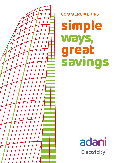

**COMMERCIAL TIPS**

**simple ways, great savings**

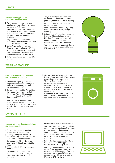#### **Check the suggestions to minimizing the Light Load**

- wisking meximum use or nacural<br>daylight. Add a skylight to bring more Making maximum use of natural sunshine to dark areas.
- $\mathbf{\Delta}$ � Decorate your premises by keeping illumination in mind. Light coloured walls and ceilings reflect more light thereby making the room look brighter.
- � Buying clean lighting fixtures, lampshades and reflectors. A cleaner amp gives brighter output.
- Using fewer bulbs in multi-bulb fixtures. It is a small yet an effective way to conserve energy in your unit.
- > One strong bulb is more efficient than several small capacity bulbs.
- > Instaling motion-sensors to outside lighting.

# **WASHING MACHINE**

They turn the lights off when there is no motion and hence are ideal for passages, corridors and porch lighting.

- Ensuring usage of solar powered lights for outdoor lighting.
- > Preventing energy wastage, by using dimmers to automatically change light intensity.
- Using energy efficient lighting options like CFL's, T5 tube lights and Led Lighting. They help you to save a lot .
- > Replacing conventional lighting fixtures with energy efficient ones.
- You can refer the replacement chart to decide the right replacement for your current fixtures.



### **Check the suggestions to minimizing the Washing Machine Load**

- > Choose the capacity as per your requirement depending upon your family size, frequency of using Washing Machine etc.
- > Do not run the machine for multiple half loads. Instead use it for Full loads only. The machine uses same amount of Electricity for half loads and full loads.
- > Run Cold Water washing cycles instead of hot water cycles. It saves upto 90% of energy that is otherwise used by the machine to heat up the water.

# **COMPUTER & TV**

- > Always switch off Washing Machine from the "plug point switch" as a safety precaution and to prevent any "Stand-by Power Loss".
- Dry your clothes under sun or in natural air instead of drying them in the Washing Machine. It saves the power otherwise being used for the Drying cycle.
- > Help the utility to control peak power demand by using non essential appliances before 10am or after 9pm



## **Check the Suggestions to minimizing the Computer & TV Load**

- > Turn on the computer, monitor, printer only when you need.
- $\rightarrow$ Turning a computer on and off doesn't use any extra electricity and won't damage your computer. On an average 50% of the power taken by a desktop is converted into heat.
- > Hence switch it ON only when you need it.
- > Save power by turning off the computer monitor when you'll be away from it for more than 15 minutes.
- > Screen savers are NOT energy savers.
- Automatic switching to sleep mode or manually turning monitors off is always a better energy-saving strategy.
- Consider buying a laptop for your next computer upgrade. Laptops use upto 90% less energy than desktop computers.
- > Select the right-sized monitor / TV to meet your needs. The bigger the monitor, the more energy it uses.
- Consider using flat panel liquid crystal display (LCD) monitors/ TVs versus conventional CRT monitors / TVs. LCD monitors provide up to 70% power savings and provide up to twice the lifespan of CRT monitors.